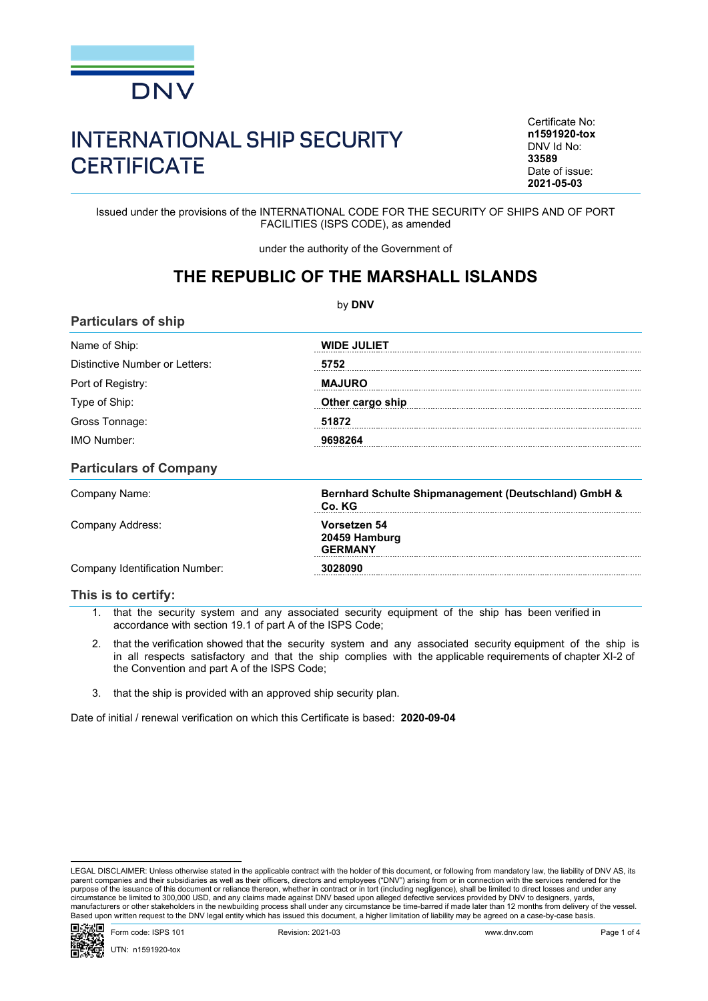

## INTERNATIONAL SHIP SECURITY **CERTIFICATE**

Certificate No: **n1591920-tox** DNV Id No: **33589** Date of issue: **2021-05-03**

Issued under the provisions of the INTERNATIONAL CODE FOR THE SECURITY OF SHIPS AND OF PORT FACILITIES (ISPS CODE), as amended

under the authority of the Government of

## **THE REPUBLIC OF THE MARSHALL ISLANDS**

| by DNV                                                                                                                                                                                                                                             |                    |  |  |  |
|----------------------------------------------------------------------------------------------------------------------------------------------------------------------------------------------------------------------------------------------------|--------------------|--|--|--|
| <b>Particulars of ship</b>                                                                                                                                                                                                                         |                    |  |  |  |
| Name of Ship:                                                                                                                                                                                                                                      | <b>WIDE JULIET</b> |  |  |  |
| Distinctive Number or Letters:                                                                                                                                                                                                                     | 5752               |  |  |  |
| Port of Registry:                                                                                                                                                                                                                                  | <b>MAJURO</b>      |  |  |  |
| and the contract of the con-<br>Type of Ship:                                                                                                                                                                                                      | Other cargo ship   |  |  |  |
| e en la provincia de la provincia del provincia del provincia del provincia del provincia del provincia del pr<br>En la provincia del provincia del provincia del provincia del provincia del provincia del provincia del provin<br>Gross Tonnage: | 51872              |  |  |  |
| <b>IMO Number:</b>                                                                                                                                                                                                                                 |                    |  |  |  |
| <b>Particulars of Company</b>                                                                                                                                                                                                                      |                    |  |  |  |

| Company Name:                  | Bernhard Schulte Shipmanagement (Deutschland) GmbH &<br>Co. KG |  |
|--------------------------------|----------------------------------------------------------------|--|
| Company Address:               | Vorsetzen 54<br>20459 Hamburg<br><b>GFRMANY</b>                |  |
| Company Identification Number: | 28090                                                          |  |

## **This is to certify:**

1. that the security system and any associated security equipment of the ship has been verified in accordance with section 19.1 of part A of the ISPS Code;

- 2. that the verification showed that the security system and any associated security equipment of the ship is in all respects satisfactory and that the ship complies with the applicable requirements of chapter XI-2 of the Convention and part A of the ISPS Code;
- 3. that the ship is provided with an approved ship security plan.

Date of initial / renewal verification on which this Certificate is based: **2020-09-04**

LEGAL DISCLAIMER: Unless otherwise stated in the applicable contract with the holder of this document, or following from mandatory law, the liability of DNV AS, its parent companies and their subsidiaries as well as their officers, directors and employees ("DNV") arising from or in connection with the services rendered for the<br>purpose of the issuance of this document or reliance there manufacturers or other stakeholders in the newbuilding process shall under any circumstance be time-barred if made later than 12 months from delivery of the vessel.<br>Based upon written request to the DNV legal entity which

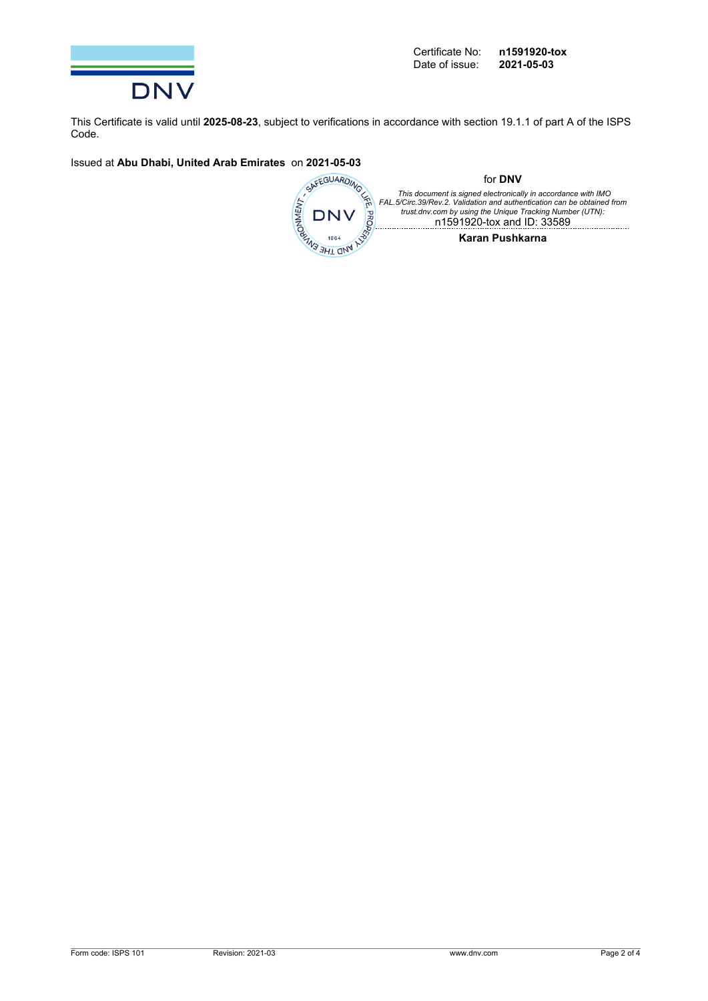

This Certificate is valid until **2025-08-23**, subject to verifications in accordance with section 19.1.1 of part A of the ISPS Code.

Issued at **Abu Dhabi, United Arab Emirates** on **2021-05-03**

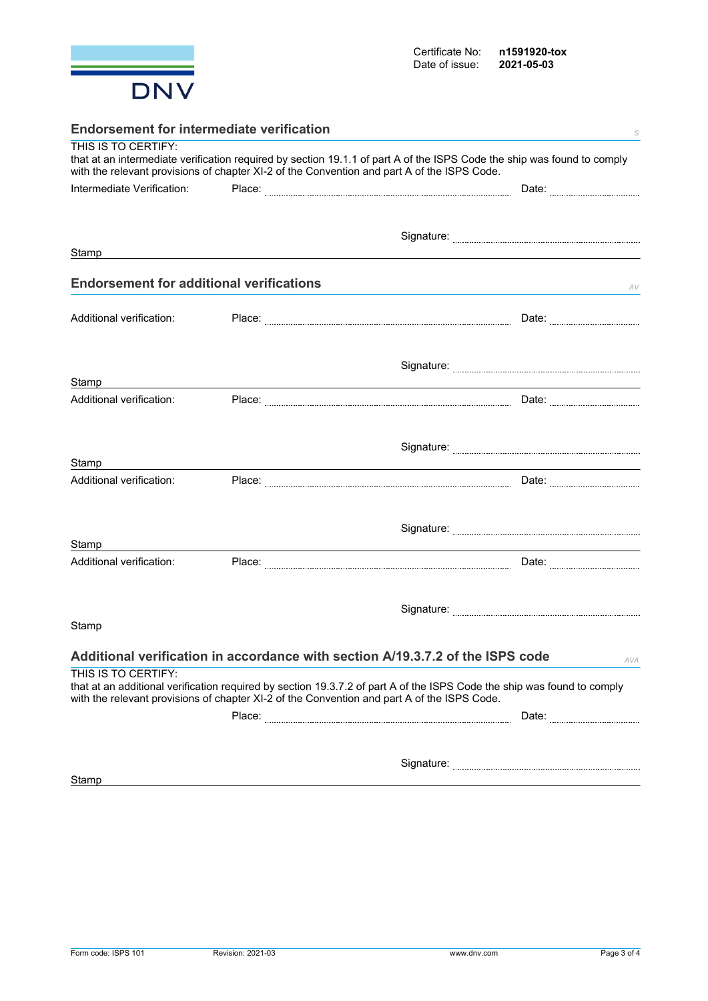

| <b>Endorsement for intermediate verification</b><br>S |  |                                                                                                                                                                                                                        |  |  |
|-------------------------------------------------------|--|------------------------------------------------------------------------------------------------------------------------------------------------------------------------------------------------------------------------|--|--|
| THIS IS TO CERTIFY:                                   |  | that at an intermediate verification required by section 19.1.1 of part A of the ISPS Code the ship was found to comply<br>with the relevant provisions of chapter XI-2 of the Convention and part A of the ISPS Code. |  |  |
| Intermediate Verification:                            |  | Date: <b>Market</b>                                                                                                                                                                                                    |  |  |
|                                                       |  |                                                                                                                                                                                                                        |  |  |
|                                                       |  |                                                                                                                                                                                                                        |  |  |
| Stamp                                                 |  |                                                                                                                                                                                                                        |  |  |
|                                                       |  |                                                                                                                                                                                                                        |  |  |
| <b>Endorsement for additional verifications</b>       |  | AV                                                                                                                                                                                                                     |  |  |
| Additional verification:                              |  |                                                                                                                                                                                                                        |  |  |
|                                                       |  |                                                                                                                                                                                                                        |  |  |
|                                                       |  |                                                                                                                                                                                                                        |  |  |
| Stamp                                                 |  |                                                                                                                                                                                                                        |  |  |
| Additional verification:                              |  |                                                                                                                                                                                                                        |  |  |
|                                                       |  |                                                                                                                                                                                                                        |  |  |
|                                                       |  |                                                                                                                                                                                                                        |  |  |
| Stamp                                                 |  |                                                                                                                                                                                                                        |  |  |
| Additional verification:                              |  |                                                                                                                                                                                                                        |  |  |
|                                                       |  |                                                                                                                                                                                                                        |  |  |
|                                                       |  |                                                                                                                                                                                                                        |  |  |
|                                                       |  |                                                                                                                                                                                                                        |  |  |
| Stamp<br>Additional verification:                     |  |                                                                                                                                                                                                                        |  |  |
|                                                       |  |                                                                                                                                                                                                                        |  |  |
|                                                       |  |                                                                                                                                                                                                                        |  |  |
| Stamp                                                 |  |                                                                                                                                                                                                                        |  |  |
|                                                       |  |                                                                                                                                                                                                                        |  |  |
|                                                       |  | Additional verification in accordance with section A/19.3.7.2 of the ISPS code<br>AVA                                                                                                                                  |  |  |
| THIS IS TO CERTIFY:                                   |  |                                                                                                                                                                                                                        |  |  |
|                                                       |  | that at an additional verification required by section 19.3.7.2 of part A of the ISPS Code the ship was found to comply<br>with the relevant provisions of chapter XI-2 of the Convention and part A of the ISPS Code. |  |  |
|                                                       |  |                                                                                                                                                                                                                        |  |  |
|                                                       |  |                                                                                                                                                                                                                        |  |  |
|                                                       |  |                                                                                                                                                                                                                        |  |  |
| Stamp                                                 |  |                                                                                                                                                                                                                        |  |  |
|                                                       |  |                                                                                                                                                                                                                        |  |  |